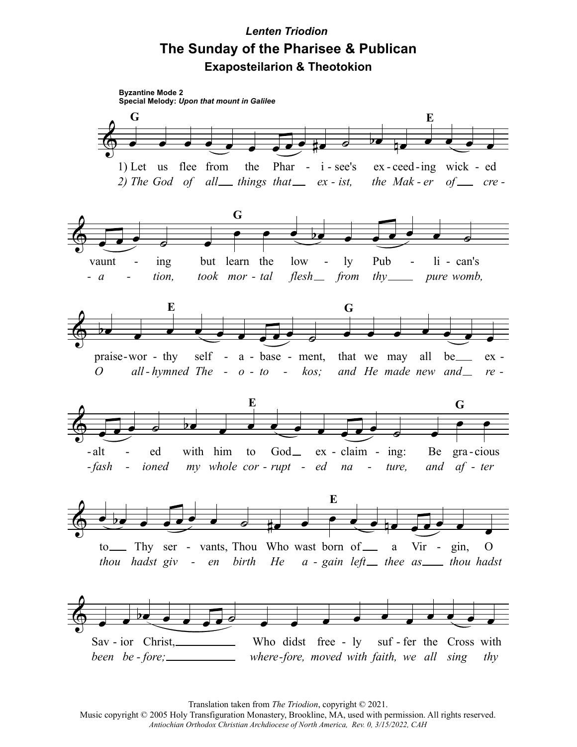## **Lenten Triodion** The Sunday of the Pharisee & Publican **Exaposteilarion & Theotokion**



Translation taken from The Triodion, copyright © 2021.

Music copyright © 2005 Holy Transfiguration Monastery, Brookline, MA, used with permission. All rights reserved. Antiochian Orthodox Christian Archdiocese of North America, Rev. 0, 3/15/2022, CAH